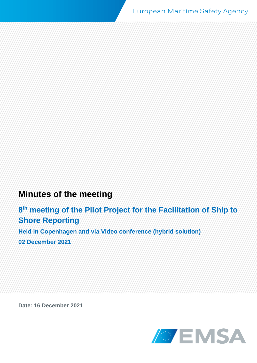# **Minutes of the meeting**

**8 th meeting of the Pilot Project for the Facilitation of Ship to Shore Reporting** 

**Held in Copenhagen and via Video conference (hybrid solution) 02 December 2021**

**Date: 16 December 2021**

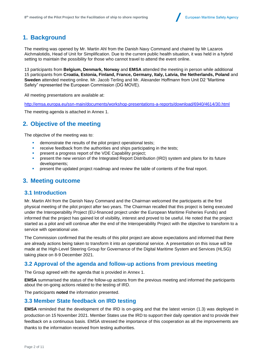

# **1. Background**

The meeting was opened by Mr. Martin Ahl from the Danish Navy Command and chaired by Mr Lazaros Aichmalotidis, Head of Unit for Simplification. Due to the current public health situation, it was held in a hybrid setting to maintain the possibility for those who cannot travel to attend the event online.

13 participants from **Belgium, Denmark, Norway** and **EMSA** attended the meeting in person while additional 15 participants from **Croatia, Estonia, Finland, France, Germany, Italy, Latvia, the Netherlands, Poland** and **Sweden** attended meeting online. Mr. Jacob Terling and Mr. Alexander Hoffmann from Unit D2 "Maritime Safety" represented the European Commission (DG MOVE).

All meeting presentations are available at:

<http://emsa.europa.eu/ssn-main/documents/workshop-presentations-a-reports/download/6940/4614/30.html>

The meeting agenda is attached in Annex 1.

## **2. Objective of the meeting**

The objective of the meeting was to:

- demonstrate the results of the pilot project operational tests;
- **•** receive feedback from the authorities and ships participating in the tests;
- **•** present a progress report of the VDE Capability project;
- **•** present the new version of the Integrated Report Distribution (IRD) system and plans for its future developments;
- **•** present the updated project roadmap and review the table of contents of the final report.

## **3. Meeting outcome**

### **3.1 Introduction**

Mr. Martin Ahl from the Danish Navy Command and the Chairman welcomed the participants at the first physical meeting of the pilot project after two years. The Chairman recalled that this project is being executed under the Interoperability Project (EU-financed project under the European Maritime Fisheries Funds) and informed that the project has gained lot of visibility, interest and proved to be useful. He noted that the project started as a pilot and will continue after the end of the Interoperability Project with the objective to transform to a service with operational use.

The Commission confirmed that the results of this pilot project are above expectations and informed that there are already actions being taken to transform it into an operational service. A presentation on this issue will be made at the High-Level Steering Group for Governance of the Digital Maritime System and Services (HLSG) taking place on 8-9 December 2021.

### **3.2 Approval of the agenda and follow-up actions from previous meeting**

The Group agreed with the agenda that is provided in Annex 1.

**EMSA** summarised the status of the follow-up actions from the previous meeting and informed the participants about the on-going actions related to the testing of IRD.

The participants **noted** the information presented.

### **3.3 Member State feedback on IRD testing**

**EMSA** reminded that the development of the IRD is on-going and that the latest version (1.3) was deployed in production on 15 November 2021. Member States use the IRD to support their daily operation and to provide their feedback on a continuous basis. EMSA stressed the importance of this cooperation as all the improvements are thanks to the information received from testing authorities.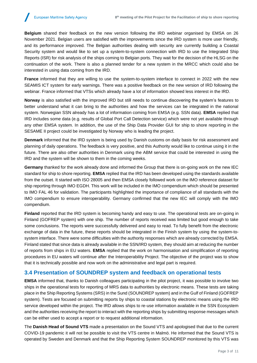**Belgium** shared their feedback on the new version following the IRD webinar organised by EMSA on 26 November 2021. Belgian users are satisfied with the improvements since the IRD system is more user friendly, and its performance improved. The Belgian authorities dealing with security are currently building a Coastal Security system and would like to set up a system-to-system connection with IRD to use the Integrated Ship Reports (ISR) for risk analysis of the ships coming to Belgian ports. They wait for the decision of the HLSG on the continuation of the work. There is also a planned tender for a new system in the MRCC which could also be interested in using data coming from the IRD.

**France** informed that they are willing to use the system-to-system interface to connect in 2022 with the new SEAMIS ICT system for early warnings. There was a positive feedback on the new version of IRD following the webinar. France informed that VTSs which already have a lot of information showed less interest in the IRD.

**Norway** is also satisfied with the improved IRD but still needs to continue discovering the system's features to better understand what it can bring to the authorities and how the services can be integrated in the national system. Norwegian SSN already has a lot of information coming from EMSA (e.g. SSN data). **EMSA** replied that IRD includes some data (e.g. results of Global Port Call Detection service) which were not yet available through any other EMSA system. In addition, the use of the Ship Data Provider GUI for ship to shore reporting in the SESAME II project could be investigated by Norway who is leading the project.

**Denmark** informed that the IRD system is being used by Danish customs on daily basis for risk assessment and planning of daily operations. The feedback is very positive, and this Authority would like to continue using it in the future. There are also other authorities in Denmark using the ABM service that could be interested in using the IRD and the system will be shown to them in the coming weeks.

**Germany** thanked for the work already done and informed the Group that there is on-going work on the new IEC standard for ship to shore reporting. **EMSA** replied that the IRD has been developed using the standards available from the outset. It started with ISO 28005 and then EMSA closely followed work on the IMO reference dataset for ship reporting through IMO EGDH. This work will be included in the IMO compendium which should be presented to IMO FAL 46 for validation. The participants highlighted the importance of compliance of all standards with the IMO compendium to ensure interoperability. Germany confirmed that the new IEC will comply with the IMO compendium.

**Finland** reported that the IRD system is becoming handy and easy to use. The operational tests are on-going in Finland (GOFREP system) with one ship. The number of reports received was limited but good enough to take some conclusions. The reports were successfully delivered and easy to read. To fully benefit from the electronic exchange of data in the future, these reports should be integrated in the Finish system by using the system-tosystem interface. There were some difficulties with the authority responses which are already corrected by EMSA. Finland stated that since data is already available in the SSN/IRD system, they should aim at reducing the number of reports from ships in EU waters. **EMSA** replied that the work on harmonisation and simplification of reporting procedures in EU waters will continue after the Interoperability Project. The objective of the project was to show that it is technically possible and now work on the administrative and legal part is required.

## **3.4 Presentation of SOUNDREP system and feedback on operational tests**

**EMSA** informed that, thanks to Danish colleagues participating in the pilot project, it was possible to involve two ships in the operational tests for reporting of MRS data to authorities by electronic means. These tests are taking place in the Ship Reporting Systems (SRS) in the Sund (SOUNDREP system) and in the Gulf of Finland (GOFREP system). Tests are focused on submitting reports by ships to coastal stations by electronic means using the IRD service developed within the project. The IRD allows ships to re-use information available in the SSN Ecosystem and the authorities receiving the report to interact with the reporting ships by submitting response messages which can be either used to accept a report or to request additional information.

The **Danish Head of Sound VTS** made a presentation on the Sound VTS and apologised that due to the current COVID-19 pandemic it will not be possible to visit the VTS centre in Malmö. He informed that the Sound VTS is operated by Sweden and Denmark and that the Ship Reporting System SOUNDREP monitored by this VTS was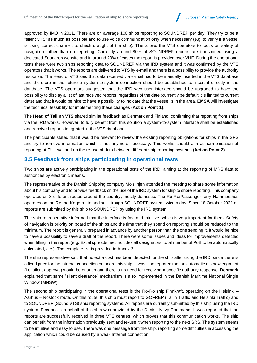

approved by IMO in 2011. There are on average 100 ships reporting to SOUNDREP per day. They try to be a "silent VTS" as much as possible and to use voice communication only when necessary (e.g. to verify if a vessel is using correct channel, to check draught of the ship). This allows the VTS operators to focus on safety of navigation rather than on reporting. Currently around 80% of SOUNDREP reports are transmitted using a dedicated Soundrep website and in around 20% of cases the report is provided over VHF. During the operational tests there were two ships reporting data to SOUNDREP via the IRD system and it was confirmed by the VTS operators that it works. The reports are delivered to VTS by e-mail and there is a possibility to provide the authority response. The Head of VTS said that data received via e-mail had to be manually inserted in the VTS database and therefore in the future a system-to-system connection should be established to insert it directly in the database. The VTS operators suggested that the IRD web user interface should be upgraded to have the possibility to display a list of last received reports, regardless of the date (currently be default it is limited to current date) and that it would be nice to have a possibility to indicate that the vessel is in the area. **EMSA** will investigate the technical feasibility for implementing these changes **(Action Point 1)**.

The **Head of Tallinn VTS** shared similar feedback as Denmark and Finland, confirming that reporting from ships via the IRD works. However, to fully benefit from this solution a system-to-system interface shall be established and received reports integrated in the VTS database.

The participants stated that it would be relevant to review the existing reporting obligations for ships in the SRS and try to remove information which is not anymore necessary. This works should aim at harmonisation of reporting at EU level and on the re-use of data between different ship reporting systems **(Action Point 2).**

#### **3.5 Feedback from ships participating in operational tests**

Two ships are actively participating in the operational tests of the IRD, aiming at the reporting of MRS data to authorities by electronic means.

The representative of the Danish Shipping company Molslinjen attended the meeting to share some information about his company and to provide feedback on the use of the IRD system for ship to shore reporting. This company operates on 8 different routes around the country, mostly domestic. The Ro-Ro/Passenger ferry Hammershus operates on the Rønne-Køge route and sails trough SOUNDREP system twice a day. Since 18 October 2021 all reports are submitted by this ship to SOUNDREP by using the IRD system.

The ship representative informed that the interface is fast and intuitive, which is very important for them. Safety of navigation is priority on board of the ships and the time that they spend on reporting should be reduced to the minimum. The report is generally prepared in advance by another person than the one sending it. It would be nice to have a possibility to save a draft of the report. There were some issues and ideas for improvements detected when filling in the report (e.g. Excel spreadsheet includes all designators, total number of PoB to be automatically calculated, etc.). The complete list is provided in Annex 2.

The ship representative said that no extra cost has been detected for the ship after using the IRD, since there is a fixed price for the Internet connection on board this ship. It was also reported that an automatic acknowledgment (i.e. silent approval) would be enough and there is no need for receiving a specific authority response. **Denmark** explained that same "silent clearance" mechanism is also implemented in the Danish Maritime National Single Window (MNSW).

The second ship participating in the operational tests is the Ro-Ro ship Finnkraft, operating on the Helsinki – Aarhus – Rostock route. On this route, this ship must report to GOFREP (Tallin Traffic and Helsinki Traffic) and to SOUNDREP (Sound VTS) ship reporting systems. All reports are currently submitted by this ship using the IRD system. Feedback on behalf of this ship was provided by the Danish Navy Command. It was reported that the reports are successfully received in three VTS centres, which proves that this communication works. The ship can benefit from the information previously sent and re-use it when reporting to the next SRS. The system seems to be intuitive and easy to use. There was one message from the ship, reporting some difficulties in accessing the application which could be caused by a weak Internet connection.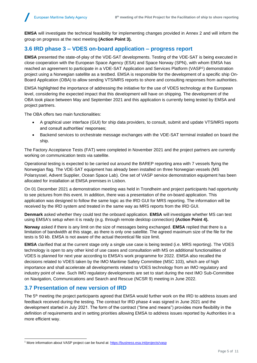**EMSA** will investigate the technical feasibility for implementing changes provided in Annex 2 and will inform the group on progress at the next meeting **(Action Point 3).**

## **3.6 IRD phase 3 – VDES on-board application – progress report**

**EMSA** presented the state-of-play of the VDE-SAT developments. Testing of the VDE-SAT is being executed in close cooperation with the European Space Agency (ESA) and Space Norway (SPN), with whom EMSA has reached an agreement to participate in a VDE-SAT Application and Services Platform (VASP<sup>1</sup>) demonstration project using a Norwegian satellite as a testbed. EMSA is responsible for the development of a specific ship On-Board Application (OBA) to allow sending VTS/MRS reports to shore and consulting responses from authorities.

EMSA highlighted the importance of addressing the initiative for the use of VDES technology at the European level, considering the expected impact that this development will have on shipping. The development of the OBA took place between May and September 2021 and this application is currently being tested by EMSA and project partners.

The OBA offers two main functionalities:

- A graphical user interface (GUI) for ship data providers, to consult, submit and update VTS/MRS reports and consult authorities' responses;
- Backend services to orchestrate message exchanges with the VDE-SAT terminal installed on board the ship.

The Factory Acceptance Tests (FAT) were completed in November 2021 and the project partners are currently working on communication tests via satellite.

Operational testing is expected to be carried out around the BAREP reporting area with 7 vessels flying the Norwegian flag. The VDE-SAT equipment has already been installed on three Norwegian vessels (MS Polarsyssel, Advent Supplier, Ocean Space Lab). One set of VASP service demonstration equipment has been allocated for installation at EMSA premises in Lisbon.

On 01 December 2021 a demonstration meeting was held in Trondheim and project participants had opportunity to see pictures from this event. In addition, there was a presentation of the on-board application. This application was designed to follow the same logic as the IRD GUI for MRS reporting. The information will be received by the IRD system and treated in the same way as MRS reports from the IRD GUI.

**Denmark** asked whether they could test the onboard application. **EMSA** will investigate whether MS can test using EMSA's setup when it is ready (e.g. through remote desktop connection) **(Action Point 4).**

**Norway** asked if there is any limit on the size of messages being exchanged. **EMSA** replied that there is a limitation of bandwidth at this stage, as there is only one satellite. The agreed maximum size of the file for the tests is 50 kb. EMSA is not aware of the actual theoretical file size limit.

**EMSA** clarified that at the current stage only a single use case is being tested (i.e. MRS reporting). The VDES technology is open to any other kind of use cases and consultation with MS on additional functionalities of VDES is planned for next year according to EMSA's work programme for 2022. EMSA also recalled the decisions related to VDES taken by the IMO Maritime Safety Committee (MSC 103), which are of high importance and shall accelerate all developments related to VDES technology from an IMO regulatory and industry point of view. Such IMO regulatory developments are set to start during the next IMO Sub-Committee on Navigation, Communications and Search and Rescue (NCSR 9) meeting in June 2022.

## **3.7 Presentation of new version of IRD**

The 5<sup>th</sup> meeting the project participants agreed that EMSA would further work on the IRD to address issues and feedback received during the testing. The contract for IRD phase 4 was signed in June 2021 and the development started in July 2021. The form of the contract ("time and means") provides more flexibility in the definition of requirements and in setting priorities allowing EMSA to address issues reported by Authorities in a more efficient way.

<sup>&</sup>lt;sup>1</sup> More information about VASP project can be found at[: https://business.esa.int/projects/vasp](https://business.esa.int/projects/vasp)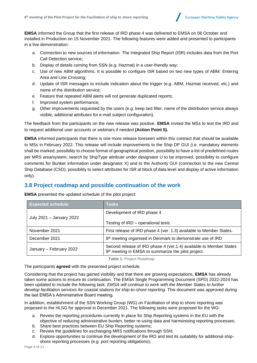**EMSA** informed the Group that the first release of IRD phase 4 was delivered to EMSA on 08 October and installed in Production on 15 November 2021. The following features were added and presented to participants in a live demonstration:

- a. Connection to new sources of information. The Integrated Ship Report (ISR) includes data from the Port Call Detection service;
- b. Display of details coming from SSN (e.g. Hazmat) in a user-friendly way;
- c. Use of new ABM algorithms. It is possible to configure ISR based on two new types of ABM: Entering Area and Line Crossing;
- d. Update of ISR messages to include indication about the trigger (e.g. ABM, Hazmat received, etc.) and name of the distribution service;
- e. Feature that repeated ABM alerts will not generate duplicated reports;
- f. Improved system performance;
- g. Other improvements requested by the users (e.g. keep last filter, name of the distribution service always visible, additional attributes for e-mail subject configuration).

The feedback from the participants on the new release was positive. **EMSA** invited the MSs to test the IRD and to request additional user accounts or webinars if needed **(Action Point 5).**

**EMSA** informed participants that there is one more release foreseen within this contract that should be available to MSs in February 2022. This release will include improvements to the Ship DP GUI (i.e. mandatory elements shall be marked, possibility to choose format of geographical position, possibility to have a list of predefined routes per MRS area/system; search by ShipType attribute under designator U to be improved, possibility to configure comments for Bunker information under designator X) and to the Authority GUI (connection to the new Central Ship Database (CSD), possibility to select attributes for ISR at block of data level and display of active information only).

## **3.8 Project roadmap and possible continuation of the work**

**EMSA** presented the updated schedule of the pilot project:

| <b>Expected schedule</b> | <b>Tasks</b>                                                                                                                          |  |
|--------------------------|---------------------------------------------------------------------------------------------------------------------------------------|--|
|                          | Development of IRD phase 4                                                                                                            |  |
| July 2021 - January 2022 | Testing of IRD - operational tests                                                                                                    |  |
| November 2021            | First release of IRD phase 4 (ver. 1.3) available to Member States.                                                                   |  |
| December 2021            | 8 <sup>th</sup> meeting organised in Denmark to demonstrate use of IRD                                                                |  |
| January - February 2022  | Second release of IRD phase 4 (ver.1.4) available to Member States<br>9 <sup>th</sup> meeting in EMSA to summarize the pilot project. |  |

**Table 1:** Project Roadmap

The participants **agreed** with the presented project schedule.

Considering that the project has gained visibility and that there are growing expectations, **EMSA** has already taken some actions to ensure its continuation. The EMSA Single Programming Document (SPD) 2022-2024 has been updated to include the following task: *EMSA will continue to work with the Member States to further develop facilitation services for coastal stations for ship-to-shore reporting.* This document was approved during the last EMSA's Administrative Board meeting.

In addition, establishment of the SSN Working Group (WG) on Facilitation of ship to shore reporting was proposed to the HLSG for approval in December 2021. The following tasks were proposed for the WG:

- a. Review the reporting procedures currently in place for Ship Reporting systems in the EU with the objective of reducing administrative burden, better re-using data and harmonising reporting processes;
- b. Share best practices between EU Ship Reporting systems;
- c. Review the guidelines for exchanging MRS notifications through SSN;
- Explore opportunities to continue the development of the IRD and test its suitability for additional shipshore reporting processes (e.g. port reporting obligations);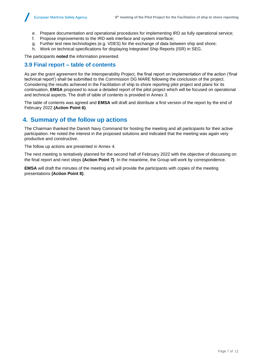- e. Prepare documentation and operational procedures for implementing IRD as fully operational service;
- f. Propose improvements to the IRD web interface and system interface;
- g. Further test new technologies (e.g. VDES) for the exchange of data between ship and shore;
- h. Work on technical specifications for displaying Integrated Ship Reports (ISR) in SEG.

The participants **noted** the information presented.

## **3.9 Final report – table of contents**

As per the grant agreement for the Interoperability Project, the final report on implementation of the action ('final technical report') shall be submitted to the Commission DG MARE following the conclusion of the project. Considering the results achieved in the Facilitation of ship to shore reporting pilot project and plans for its continuation, **EMSA** proposed to issue a detailed report of the pilot project which will be focused on operational and technical aspects. The draft of table of contents is provided in Annex 3.

The table of contents was agreed and **EMSA** will draft and distribute a first version of the report by the end of February 2022 **(Action Point 6)**.

## **4. Summary of the follow up actions**

The Chairman thanked the Danish Navy Command for hosting the meeting and all participants for their active participation. He noted the interest in the proposed solutions and indicated that the meeting was again very productive and constructive.

The follow up actions are presented in Annex 4.

The next meeting is tentatively planned for the second half of February 2022 with the objective of discussing on the final report and next steps **(Action Point 7)**. In the meantime, the Group will work by correspondence.

**EMSA** will draft the minutes of the meeting and will provide the participants with copies of the meeting presentations **(Action Point 8)**.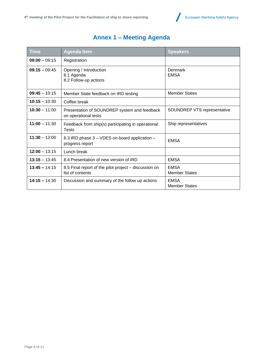



| <b>Time</b>     | <b>Agenda Item</b>                                                        | <b>Speakers</b>                     |
|-----------------|---------------------------------------------------------------------------|-------------------------------------|
| $09:00 - 09:15$ | Registration                                                              |                                     |
| $09:15 - 09:45$ | Opening / Introduction<br>8.1 Agenda<br>8.2 Follow-up actions             | Denmark<br><b>EMSA</b>              |
| $09:45 - 10:15$ | Member State feedback on IRD testing                                      | <b>Member States</b>                |
| $10:15 - 10:30$ | Coffee break                                                              |                                     |
| $10:30 - 11:00$ | Presentation of SOUNDREP system and feedback<br>on operational tests      | SOUNDREP VTS representative         |
| $11:00 - 11:30$ | Feedback from ship(s) participating in operational<br><b>Tests</b>        | Ship representatives                |
| $11:30 - 12:00$ | 8.3 IRD phase 3 - VDES on-board application -<br>progress report          | <b>EMSA</b>                         |
| $12:00 - 13:15$ | Lunch break                                                               |                                     |
| $13:15 - 13:45$ | 8.4 Presentation of new version of IRD                                    | <b>EMSA</b>                         |
| $13:45 - 14:15$ | 8.5 Final report of the pilot project – discussion on<br>list of contents | <b>EMSA</b><br><b>Member States</b> |
| $14:15 - 14:30$ | Discussion and summary of the follow up actions                           | <b>EMSA</b><br><b>Member States</b> |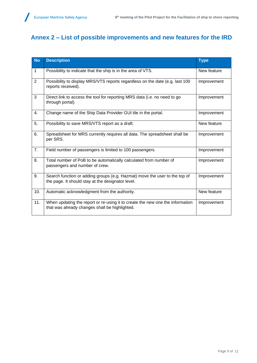$\sqrt{2}$ 

# **Annex 2 – List of possible improvements and new features for the IRD**

| <b>No</b>      | <b>Description</b>                                                                                                              | <b>Type</b> |
|----------------|---------------------------------------------------------------------------------------------------------------------------------|-------------|
| 1              | Possibility to indicate that the ship is in the area of VTS.                                                                    | New feature |
| $\overline{2}$ | Possibility to display MRS/VTS reports regardless on the date (e.g. last 100<br>reports received).                              | Improvement |
| 3              | Direct link to access the tool for reporting MRS data (i.e. no need to go<br>through portal).                                   | Improvement |
| 4.             | Change name of the Ship Data Provider GUI tile in the portal.                                                                   | Improvement |
| 5.             | Possibility to save MRS/VTS report as a draft.                                                                                  | New feature |
| 6.             | Spreadsheet for MRS currently requires all data. The spreadsheet shall be<br>per SRS.                                           | Improvement |
| 7.             | Field number of passengers is limited to 100 passengers.                                                                        | Improvement |
| 8.             | Total number of PoB to be automatically calculated from number of<br>passengers and number of crew.                             | Improvement |
| 9.             | Search function or adding groups (e.g. Hazmat) move the user to the top of<br>the page. It should stay at the designator level. | Improvement |
| 10.            | Automatic acknowledgment from the authority.                                                                                    | New feature |
| 11.            | When updating the report or re-using it to create the new one the information<br>that was already changes shall be highlighted. | Improvement |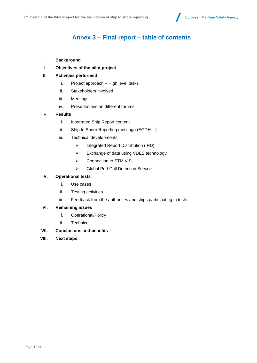# **Annex 3 – Final report – table of contents**

- I. **Background**
- II. **Objectives of the pilot project**

#### III. **Activities performed**

- i. Project approach High level tasks
- ii. Stakeholders involved
- iii. Meetings
- iv. Presentations on different forums

#### IV. **Results**

- i. Integrated Ship Report content
- ii. Ship to Shore Reporting message (EGDH…)
- iii. Technical developments
	- ➢ Integrated Report Distribution (IRD)
	- ➢ Exchange of data using VDES technology
	- ➢ Connection to STM VIS
	- ➢ Global Port Call Detection Service

#### **V. Operational tests**

- i. Use cases
- ii. Testing activities
- iii. Feedback from the authorities and ships participating in tests

#### **VI. Remaining issues**

- i. Operational/Policy
- ii. Technical
- **VII. Conclusions and benefits**
- **VIII. Next steps**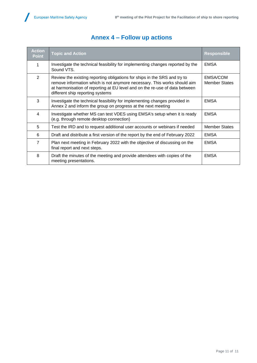$\overline{\phantom{a}}$ 

| <b>Action</b><br><b>Point</b> | <b>Topic and Action</b>                                                                                                                                                                                                                                                  | <b>Responsible</b>               |
|-------------------------------|--------------------------------------------------------------------------------------------------------------------------------------------------------------------------------------------------------------------------------------------------------------------------|----------------------------------|
|                               | Investigate the technical feasibility for implementing changes reported by the<br>Sound VTS.                                                                                                                                                                             | <b>EMSA</b>                      |
| $\overline{2}$                | Review the existing reporting obligations for ships in the SRS and try to<br>remove information which is not anymore necessary. This works should aim<br>at harmonisation of reporting at EU level and on the re-use of data between<br>different ship reporting systems | EMSA/COM<br><b>Member States</b> |
| 3                             | Investigate the technical feasibility for implementing changes provided in<br>Annex 2 and inform the group on progress at the next meeting                                                                                                                               | <b>EMSA</b>                      |
| 4                             | Investigate whether MS can test VDES using EMSA's setup when it is ready<br>(e.g. through remote desktop connection)                                                                                                                                                     | <b>EMSA</b>                      |
| 5                             | Test the IRD and to request additional user accounts or webinars if needed                                                                                                                                                                                               | <b>Member States</b>             |
| 6                             | Draft and distribute a first version of the report by the end of February 2022                                                                                                                                                                                           | <b>EMSA</b>                      |
| $\overline{7}$                | Plan next meeting in February 2022 with the objective of discussing on the<br>final report and next steps.                                                                                                                                                               | <b>EMSA</b>                      |
| 8                             | Draft the minutes of the meeting and provide attendees with copies of the<br>meeting presentations.                                                                                                                                                                      | <b>EMSA</b>                      |

# **Annex 4 – Follow up actions**